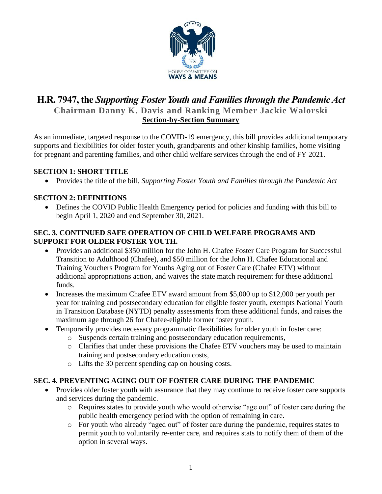

# **H.R. 7947, the** *Supporting Foster Youth and Families through the Pandemic Act* **Chairman Danny K. Davis and Ranking Member Jackie Walorski Section-by-Section Summary**

As an immediate, targeted response to the COVID-19 emergency, this bill provides additional temporary supports and flexibilities for older foster youth, grandparents and other kinship families, home visiting for pregnant and parenting families, and other child welfare services through the end of FY 2021.

## **SECTION 1: SHORT TITLE**

• Provides the title of the bill, *Supporting Foster Youth and Families through the Pandemic Act*

#### **SECTION 2: DEFINITIONS**

• Defines the COVID Public Health Emergency period for policies and funding with this bill to begin April 1, 2020 and end September 30, 2021.

#### **SEC. 3. CONTINUED SAFE OPERATION OF CHILD WELFARE PROGRAMS AND SUPPORT FOR OLDER FOSTER YOUTH.**

- Provides an additional \$350 million for the John H. Chafee Foster Care Program for Successful Transition to Adulthood (Chafee), and \$50 million for the John H. Chafee Educational and Training Vouchers Program for Youths Aging out of Foster Care (Chafee ETV) without additional appropriations action, and waives the state match requirement for these additional funds.
- Increases the maximum Chafee ETV award amount from \$5,000 up to \$12,000 per youth per year for training and postsecondary education for eligible foster youth, exempts National Youth in Transition Database (NYTD) penalty assessments from these additional funds, and raises the maximum age through 26 for Chafee-eligible former foster youth.
- Temporarily provides necessary programmatic flexibilities for older youth in foster care:
	- o Suspends certain training and postsecondary education requirements,
	- o Clarifies that under these provisions the Chafee ETV vouchers may be used to maintain training and postsecondary education costs,
	- o Lifts the 30 percent spending cap on housing costs.

## **SEC. 4. PREVENTING AGING OUT OF FOSTER CARE DURING THE PANDEMIC**

- Provides older foster youth with assurance that they may continue to receive foster care supports and services during the pandemic.
	- o Requires states to provide youth who would otherwise "age out" of foster care during the public health emergency period with the option of remaining in care.
	- o For youth who already "aged out" of foster care during the pandemic, requires states to permit youth to voluntarily re-enter care, and requires stats to notify them of them of the option in several ways.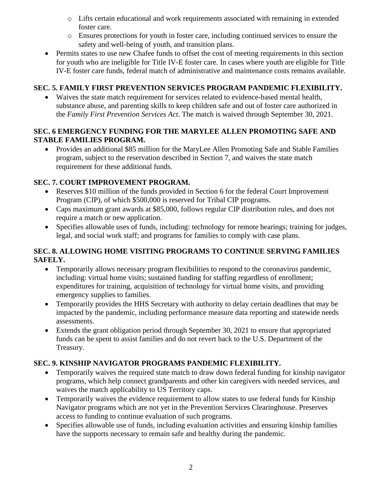- o Lifts certain educational and work requirements associated with remaining in extended foster care.
- o Ensures protections for youth in foster care, including continued services to ensure the safety and well-being of youth, and transition plans.
- Permits states to use new Chafee funds to offset the cost of meeting requirements in this section for youth who are ineligible for Title IV-E foster care. In cases where youth are eligible for Title IV-E foster care funds, federal match of administrative and maintenance costs remains available.

## **SEC. 5. FAMILY FIRST PREVENTION SERVICES PROGRAM PANDEMIC FLEXIBILITY.**

• Waives the state match requirement for services related to evidence-based mental health, substance abuse, and parenting skills to keep children safe and out of foster care authorized in the *Family First Prevention Services Act*. The match is waived through September 30, 2021.

## **SEC. 6 EMERGENCY FUNDING FOR THE MARYLEE ALLEN PROMOTING SAFE AND STABLE FAMILIES PROGRAM.**

• Provides an additional \$85 million for the MaryLee Allen Promoting Safe and Stable Families program, subject to the reservation described in Section 7, and waives the state match requirement for these additional funds.

## **SEC. 7. COURT IMPROVEMENT PROGRAM.**

- Reserves \$10 million of the funds provided in Section 6 for the federal Court Improvement Program (CIP), of which \$500,000 is reserved for Tribal CIP programs.
- Caps maximum grant awards at \$85,000, follows regular CIP distribution rules, and does not require a match or new application.
- Specifies allowable uses of funds, including: technology for remote hearings; training for judges, legal, and social work staff; and programs for families to comply with case plans.

## **SEC. 8. ALLOWING HOME VISITING PROGRAMS TO CONTINUE SERVING FAMILIES SAFELY.**

- Temporarily allows necessary program flexibilities to respond to the coronavirus pandemic, including: virtual home visits; sustained funding for staffing regardless of enrollment; expenditures for training, acquisition of technology for virtual home visits, and providing emergency supplies to families.
- Temporarily provides the HHS Secretary with authority to delay certain deadlines that may be impacted by the pandemic, including performance measure data reporting and statewide needs assessments.
- Extends the grant obligation period through September 30, 2021 to ensure that appropriated funds can be spent to assist families and do not revert back to the U.S. Department of the Treasury.

## **SEC. 9. KINSHIP NAVIGATOR PROGRAMS PANDEMIC FLEXIBILITY.**

- Temporarily waives the required state match to draw down federal funding for kinship navigator programs, which help connect grandparents and other kin caregivers with needed services, and waives the match applicability to US Territory caps.
- Temporarily waives the evidence requirement to allow states to use federal funds for Kinship Navigator programs which are not yet in the Prevention Services Clearinghouse. Preserves access to funding to continue evaluation of such programs.
- Specifies allowable use of funds, including evaluation activities and ensuring kinship families have the supports necessary to remain safe and healthy during the pandemic.